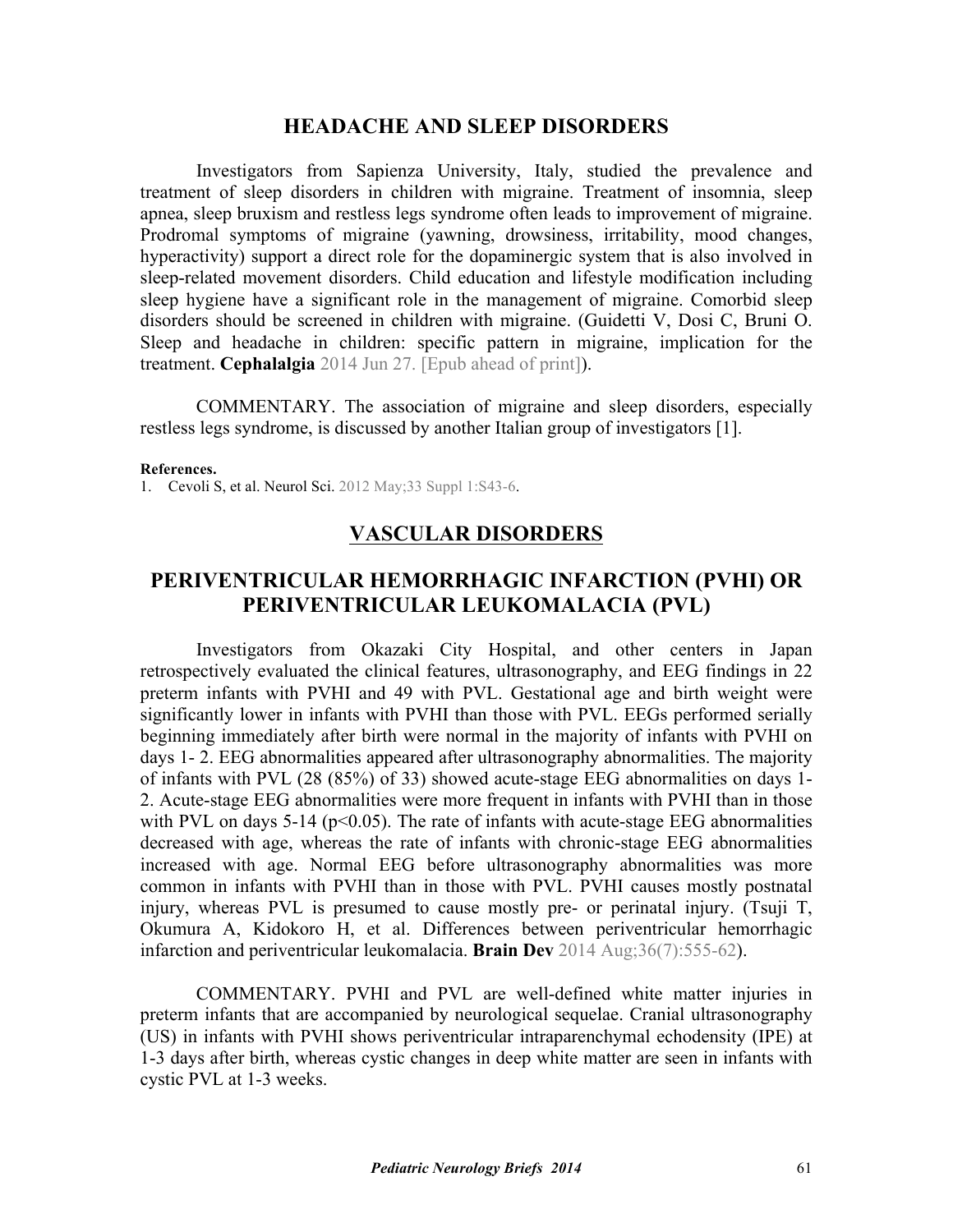### **HEADACHE AND SLEEP DISORDERS**

Investigators from Sapienza University, Italy, studied the prevalence and treatment of sleep disorders in children with migraine. Treatment of insomnia, sleep apnea, sleep bruxism and restless legs syndrome often leads to improvement of migraine. Prodromal symptoms of migraine (yawning, drowsiness, irritability, mood changes, hyperactivity) support a direct role for the dopaminergic system that is also involved in sleep-related movement disorders. Child education and lifestyle modification including sleep hygiene have a significant role in the management of migraine. Comorbid sleep [disorders should be screened in children with migraine. \(Guidetti V, Dosi C, Bruni O.](http://dx.doi.org/10.1177/0333102414541817) Sleep and headache in children: specific pattern in migraine, implication for the treatment. **Cephalalgia** 2014 Jun 27. [Epub ahead of print]).

 COMMENTARY. The association of migraine and sleep disorders, especially restless legs syndrome, is discussed by another Italian group of investigators [1].

#### **References.**

1. [Cevoli S, et al. Neurol Sci. 2012 May;33 Suppl 1:S43-6](http://dx.doi.org/10.1007/s10072-012-1030-0).

# **VASCULAR DISORDERS**

# **PERIVENTRICULAR HEMORRHAGIC INFARCTION (PVHI) OR PERIVENTRICULAR LEUKOMALACIA (PVL)**

Investigators from Okazaki City Hospital, and other centers in Japan retrospectively evaluated the clinical features, ultrasonography, and EEG findings in 22 preterm infants with PVHI and 49 with PVL. Gestational age and birth weight were significantly lower in infants with PVHI than those with PVL. EEGs performed serially beginning immediately after birth were normal in the majority of infants with PVHI on days 1- 2. EEG abnormalities appeared after ultrasonography abnormalities. The majority of infants with PVL (28 (85%) of 33) showed acute-stage EEG abnormalities on days 1- 2. Acute-stage EEG abnormalities were more frequent in infants with PVHI than in those with PVL on days  $5-14$  ( $p<0.05$ ). The rate of infants with acute-stage EEG abnormalities decreased with age, whereas the rate of infants with chronic-stage EEG abnormalities increased with age. Normal EEG before ultrasonography abnormalities was more common in infants with PVHI than in those with PVL. PVHI causes mostly postnatal injury, whereas PVL is [presumed to cause mostly pre- or perinatal injury.](http://dx.doi.org/10.1016/j.braindev.2013.07.014) (Tsuji T, Okumura A, Kidokoro H, et al. Differences between periventricular hemorrhagic infarction and periventricular leukomalacia. **Brain Dev** 2014 Aug;36(7):555-62).

 COMMENTARY. PVHI and PVL are well-defined white matter injuries in preterm infants that are accompanied by neurological sequelae. Cranial ultrasonography (US) in infants with PVHI shows periventricular intraparenchymal echodensity (IPE) at 1-3 days after birth, whereas cystic changes in deep white matter are seen in infants with cystic PVL at 1-3 weeks.